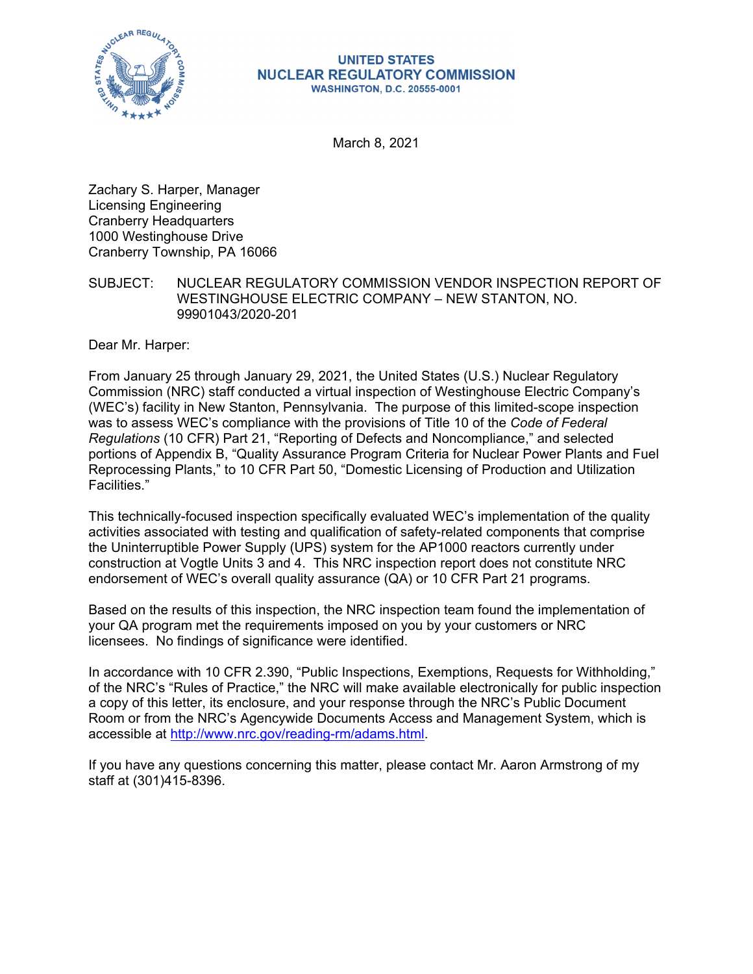

#### **UNITED STATES NUCLEAR REGULATORY COMMISSION WASHINGTON, D.C. 20555-0001**

March 8, 2021

Zachary S. Harper, Manager Licensing Engineering Cranberry Headquarters 1000 Westinghouse Drive Cranberry Township, PA 16066

SUBJECT: NUCLEAR REGULATORY COMMISSION VENDOR INSPECTION REPORT OF WESTINGHOUSE ELECTRIC COMPANY – NEW STANTON, NO. 99901043/2020-201

Dear Mr. Harper:

From January 25 through January 29, 2021, the United States (U.S.) Nuclear Regulatory Commission (NRC) staff conducted a virtual inspection of Westinghouse Electric Company's (WEC's) facility in New Stanton, Pennsylvania. The purpose of this limited-scope inspection was to assess WEC's compliance with the provisions of Title 10 of the *Code of Federal Regulations* (10 CFR) Part 21, "Reporting of Defects and Noncompliance," and selected portions of Appendix B, "Quality Assurance Program Criteria for Nuclear Power Plants and Fuel Reprocessing Plants," to 10 CFR Part 50, "Domestic Licensing of Production and Utilization Facilities."

This technically-focused inspection specifically evaluated WEC's implementation of the quality activities associated with testing and qualification of safety-related components that comprise the Uninterruptible Power Supply (UPS) system for the AP1000 reactors currently under construction at Vogtle Units 3 and 4. This NRC inspection report does not constitute NRC endorsement of WEC's overall quality assurance (QA) or 10 CFR Part 21 programs.

Based on the results of this inspection, the NRC inspection team found the implementation of your QA program met the requirements imposed on you by your customers or NRC licensees. No findings of significance were identified.

In accordance with 10 CFR 2.390, "Public Inspections, Exemptions, Requests for Withholding," of the NRC's "Rules of Practice," the NRC will make available electronically for public inspection a copy of this letter, its enclosure, and your response through the NRC's Public Document Room or from the NRC's Agencywide Documents Access and Management System, which is accessible at http://www.nrc.gov/reading-rm/adams.html.

If you have any questions concerning this matter, please contact Mr. Aaron Armstrong of my staff at (301)415-8396.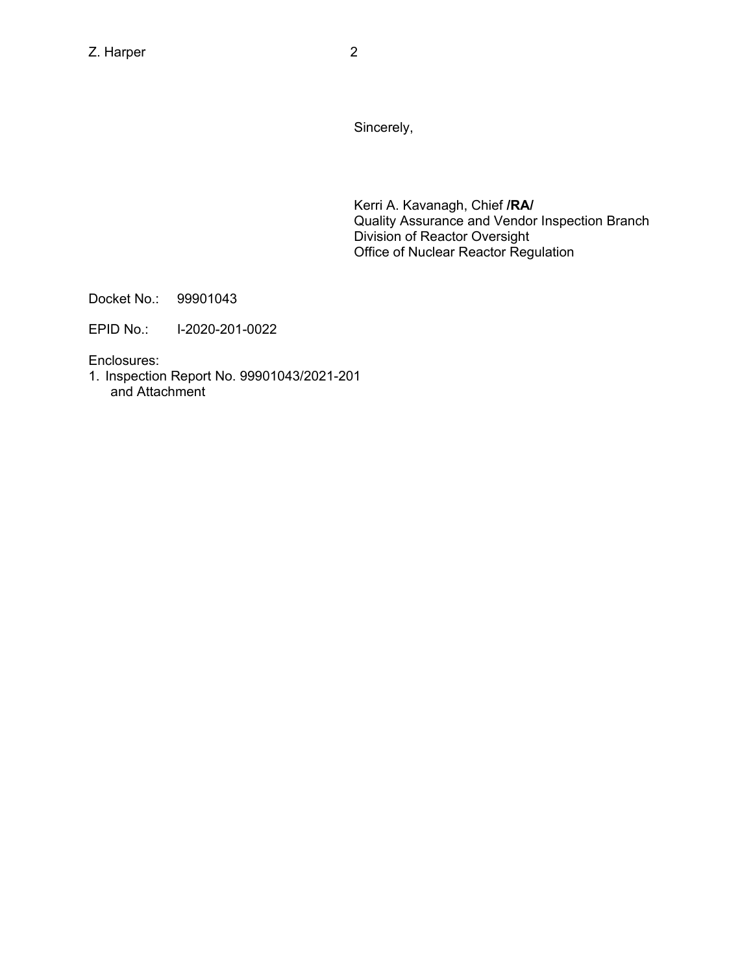Sincerely,

Kerri A. Kavanagh, Chief **/RA/**  Quality Assurance and Vendor Inspection Branch Division of Reactor Oversight Office of Nuclear Reactor Regulation

Docket No.: 99901043

EPID No.: I-2020-201-0022

Enclosures:

1. Inspection Report No. 99901043/2021-201 and Attachment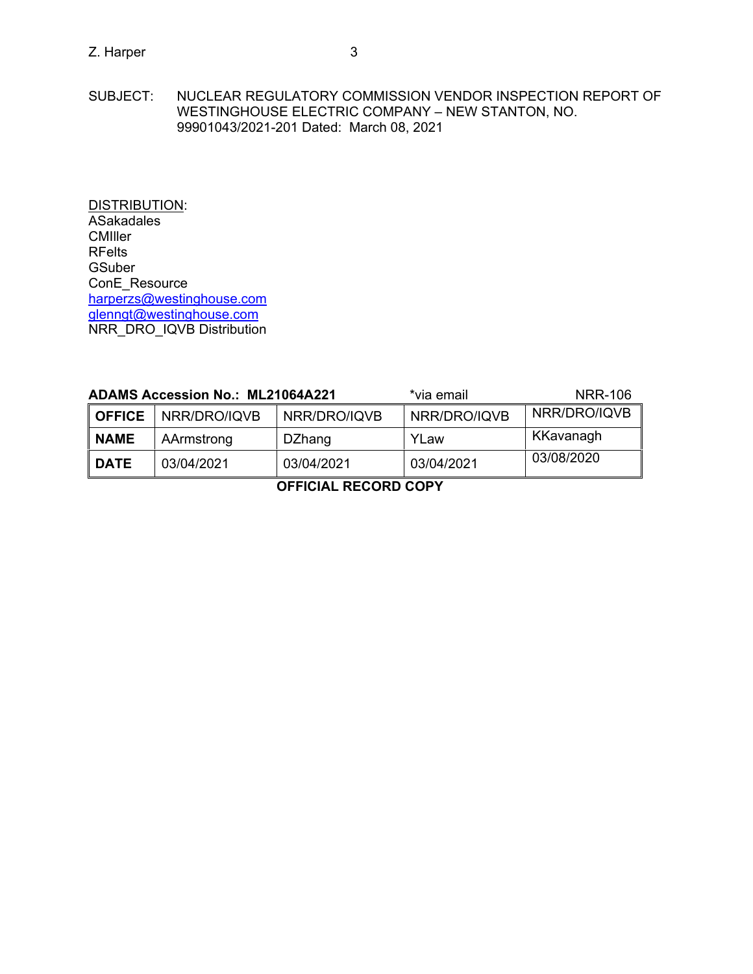SUBJECT: NUCLEAR REGULATORY COMMISSION VENDOR INSPECTION REPORT OF WESTINGHOUSE ELECTRIC COMPANY – NEW STANTON, NO. 99901043/2021-201 Dated: March 08, 2021

DISTRIBUTION: ASakadales **CMIller** RFelts **GSuber** ConE\_Resource harperzs@westinghouse.com glenngt@westinghouse.com NRR\_DRO\_IQVB Distribution

| <b>ADAMS Accession No.: ML21064A221</b> |              | *via email    | NRR-106      |              |
|-----------------------------------------|--------------|---------------|--------------|--------------|
| <b>OFFICE</b>                           | NRR/DRO/IQVB | NRR/DRO/IQVB  | NRR/DRO/IQVB | NRR/DRO/IQVB |
| <b>NAME</b>                             | AArmstrong   | <b>DZhang</b> | YLaw         | KKavanagh    |
| <b>DATE</b>                             | 03/04/2021   | 03/04/2021    | 03/04/2021   | 03/08/2020   |
| AFFIAIAL BEAARD AABV                    |              |               |              |              |

**OFFICIAL RECORD COPY**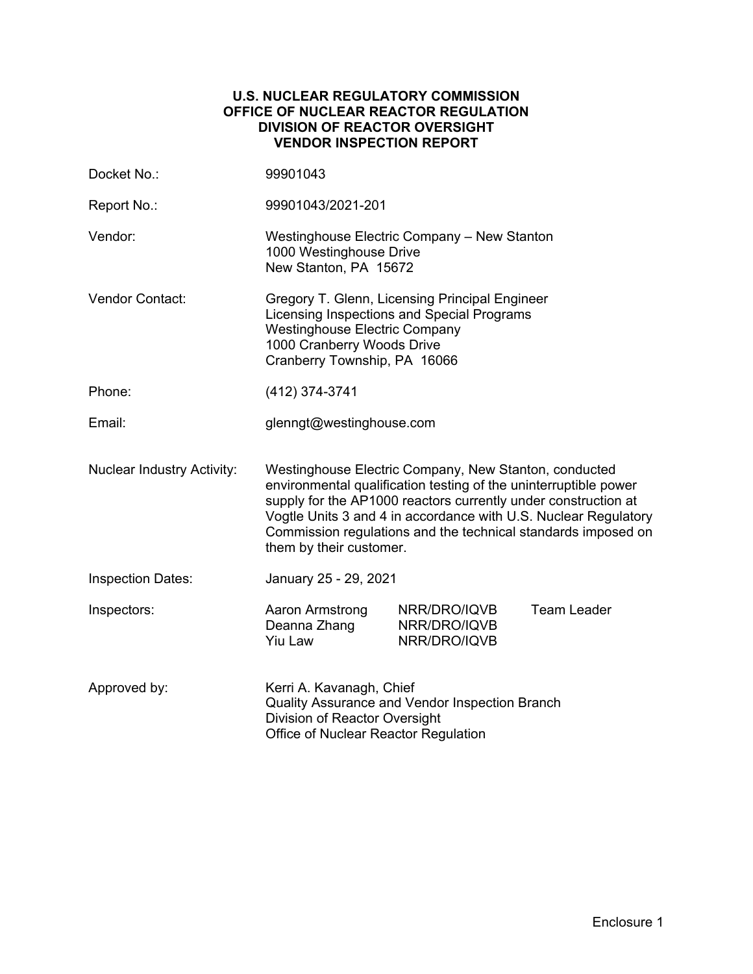### **U.S. NUCLEAR REGULATORY COMMISSION OFFICE OF NUCLEAR REACTOR REGULATION DIVISION OF REACTOR OVERSIGHT VENDOR INSPECTION REPORT**

| Docket No.:                       | 99901043                                                                                                                                                                                                                                                                                                                                                   |                                              |                    |
|-----------------------------------|------------------------------------------------------------------------------------------------------------------------------------------------------------------------------------------------------------------------------------------------------------------------------------------------------------------------------------------------------------|----------------------------------------------|--------------------|
| Report No.:                       | 99901043/2021-201                                                                                                                                                                                                                                                                                                                                          |                                              |                    |
| Vendor:                           | Westinghouse Electric Company - New Stanton<br>1000 Westinghouse Drive<br>New Stanton, PA 15672                                                                                                                                                                                                                                                            |                                              |                    |
| <b>Vendor Contact:</b>            | Gregory T. Glenn, Licensing Principal Engineer<br>Licensing Inspections and Special Programs<br><b>Westinghouse Electric Company</b><br>1000 Cranberry Woods Drive<br>Cranberry Township, PA 16066                                                                                                                                                         |                                              |                    |
| Phone:                            | (412) 374-3741                                                                                                                                                                                                                                                                                                                                             |                                              |                    |
| Email:                            | glenngt@westinghouse.com                                                                                                                                                                                                                                                                                                                                   |                                              |                    |
| <b>Nuclear Industry Activity:</b> | Westinghouse Electric Company, New Stanton, conducted<br>environmental qualification testing of the uninterruptible power<br>supply for the AP1000 reactors currently under construction at<br>Vogtle Units 3 and 4 in accordance with U.S. Nuclear Regulatory<br>Commission regulations and the technical standards imposed on<br>them by their customer. |                                              |                    |
| <b>Inspection Dates:</b>          | January 25 - 29, 2021                                                                                                                                                                                                                                                                                                                                      |                                              |                    |
| Inspectors:                       | Aaron Armstrong<br>Deanna Zhang<br><b>Yiu Law</b>                                                                                                                                                                                                                                                                                                          | NRR/DRO/IQVB<br>NRR/DRO/IQVB<br>NRR/DRO/IQVB | <b>Team Leader</b> |
| Approved by:                      | Kerri A. Kavanagh, Chief<br>Quality Assurance and Vendor Inspection Branch<br>Division of Reactor Oversight<br>Office of Nuclear Reactor Regulation                                                                                                                                                                                                        |                                              |                    |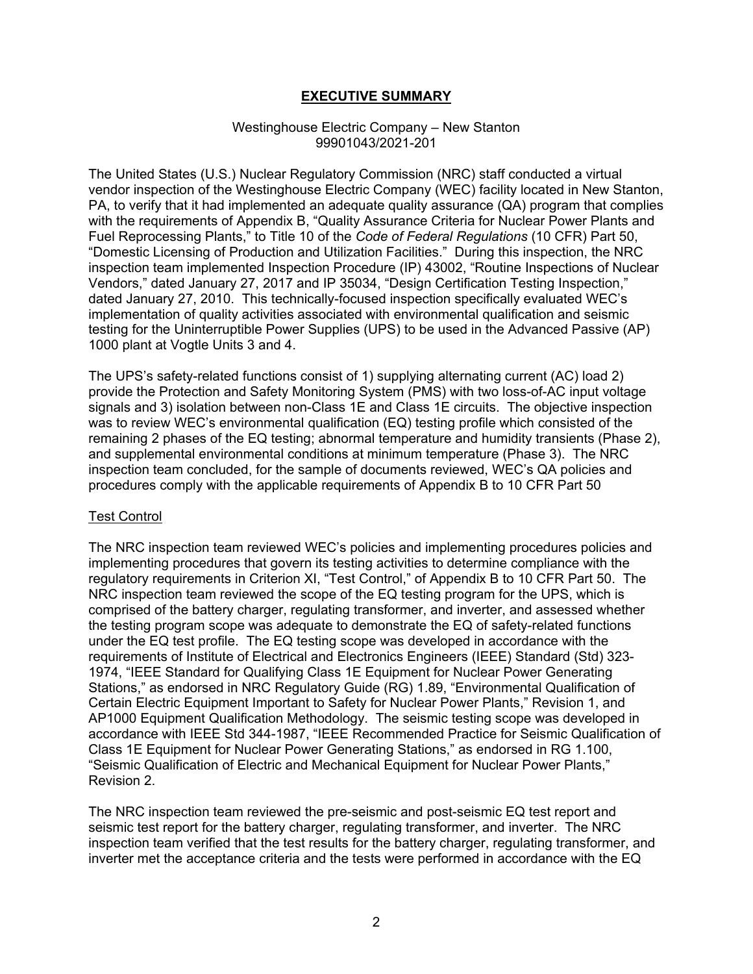## **EXECUTIVE SUMMARY**

#### Westinghouse Electric Company – New Stanton 99901043/2021-201

The United States (U.S.) Nuclear Regulatory Commission (NRC) staff conducted a virtual vendor inspection of the Westinghouse Electric Company (WEC) facility located in New Stanton, PA, to verify that it had implemented an adequate quality assurance (QA) program that complies with the requirements of Appendix B, "Quality Assurance Criteria for Nuclear Power Plants and Fuel Reprocessing Plants," to Title 10 of the *Code of Federal Regulations* (10 CFR) Part 50, "Domestic Licensing of Production and Utilization Facilities." During this inspection, the NRC inspection team implemented Inspection Procedure (IP) 43002, "Routine Inspections of Nuclear Vendors," dated January 27, 2017 and IP 35034, "Design Certification Testing Inspection," dated January 27, 2010. This technically-focused inspection specifically evaluated WEC's implementation of quality activities associated with environmental qualification and seismic testing for the Uninterruptible Power Supplies (UPS) to be used in the Advanced Passive (AP) 1000 plant at Vogtle Units 3 and 4.

The UPS's safety-related functions consist of 1) supplying alternating current (AC) load 2) provide the Protection and Safety Monitoring System (PMS) with two loss-of-AC input voltage signals and 3) isolation between non-Class 1E and Class 1E circuits. The objective inspection was to review WEC's environmental qualification (EQ) testing profile which consisted of the remaining 2 phases of the EQ testing; abnormal temperature and humidity transients (Phase 2), and supplemental environmental conditions at minimum temperature (Phase 3). The NRC inspection team concluded, for the sample of documents reviewed, WEC's QA policies and procedures comply with the applicable requirements of Appendix B to 10 CFR Part 50

#### **Test Control**

The NRC inspection team reviewed WEC's policies and implementing procedures policies and implementing procedures that govern its testing activities to determine compliance with the regulatory requirements in Criterion XI, "Test Control," of Appendix B to 10 CFR Part 50. The NRC inspection team reviewed the scope of the EQ testing program for the UPS, which is comprised of the battery charger, regulating transformer, and inverter, and assessed whether the testing program scope was adequate to demonstrate the EQ of safety-related functions under the EQ test profile. The EQ testing scope was developed in accordance with the requirements of Institute of Electrical and Electronics Engineers (IEEE) Standard (Std) 323- 1974, "IEEE Standard for Qualifying Class 1E Equipment for Nuclear Power Generating Stations," as endorsed in NRC Regulatory Guide (RG) 1.89, "Environmental Qualification of Certain Electric Equipment Important to Safety for Nuclear Power Plants," Revision 1, and AP1000 Equipment Qualification Methodology. The seismic testing scope was developed in accordance with IEEE Std 344-1987, "IEEE Recommended Practice for Seismic Qualification of Class 1E Equipment for Nuclear Power Generating Stations," as endorsed in RG 1.100, "Seismic Qualification of Electric and Mechanical Equipment for Nuclear Power Plants," Revision 2.

The NRC inspection team reviewed the pre-seismic and post-seismic EQ test report and seismic test report for the battery charger, regulating transformer, and inverter. The NRC inspection team verified that the test results for the battery charger, regulating transformer, and inverter met the acceptance criteria and the tests were performed in accordance with the EQ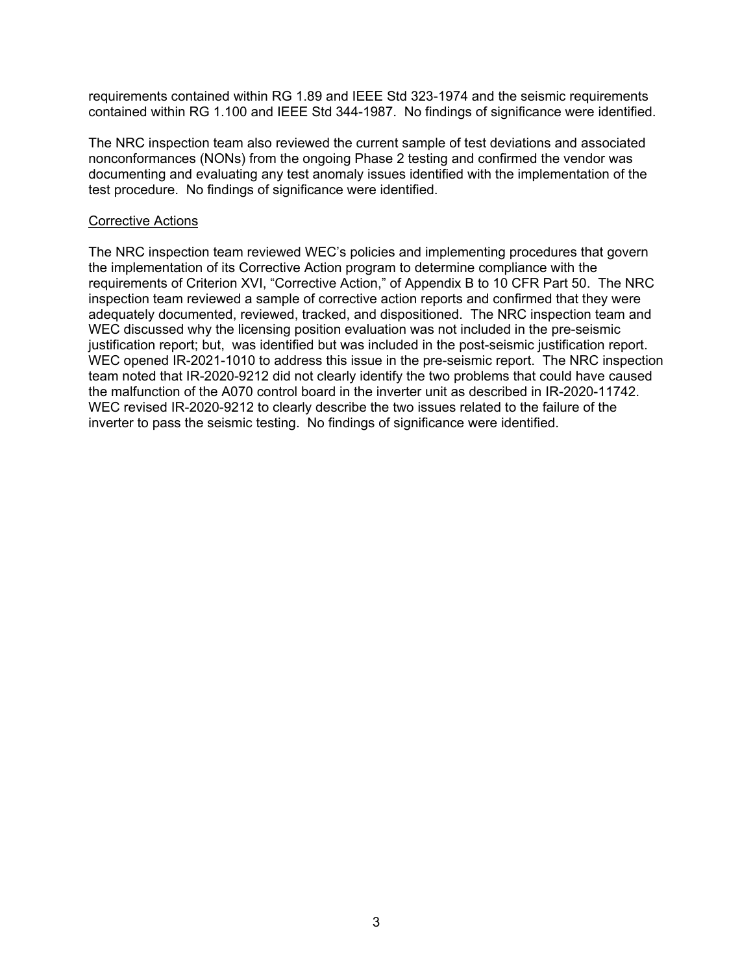requirements contained within RG 1.89 and IEEE Std 323-1974 and the seismic requirements contained within RG 1.100 and IEEE Std 344-1987. No findings of significance were identified.

The NRC inspection team also reviewed the current sample of test deviations and associated nonconformances (NONs) from the ongoing Phase 2 testing and confirmed the vendor was documenting and evaluating any test anomaly issues identified with the implementation of the test procedure. No findings of significance were identified.

#### Corrective Actions

The NRC inspection team reviewed WEC's policies and implementing procedures that govern the implementation of its Corrective Action program to determine compliance with the requirements of Criterion XVI, "Corrective Action," of Appendix B to 10 CFR Part 50. The NRC inspection team reviewed a sample of corrective action reports and confirmed that they were adequately documented, reviewed, tracked, and dispositioned. The NRC inspection team and WEC discussed why the licensing position evaluation was not included in the pre-seismic justification report; but, was identified but was included in the post-seismic justification report. WEC opened IR-2021-1010 to address this issue in the pre-seismic report. The NRC inspection team noted that IR-2020-9212 did not clearly identify the two problems that could have caused the malfunction of the A070 control board in the inverter unit as described in IR-2020-11742. WEC revised IR-2020-9212 to clearly describe the two issues related to the failure of the inverter to pass the seismic testing. No findings of significance were identified.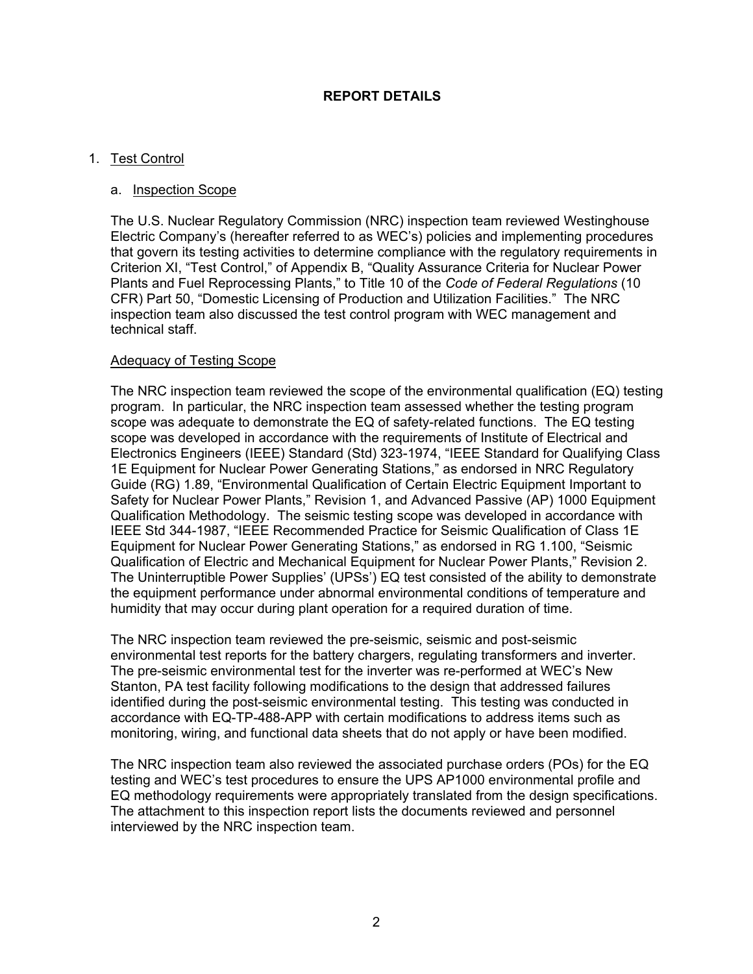## **REPORT DETAILS**

## 1. Test Control

#### a. Inspection Scope

The U.S. Nuclear Regulatory Commission (NRC) inspection team reviewed Westinghouse Electric Company's (hereafter referred to as WEC's) policies and implementing procedures that govern its testing activities to determine compliance with the regulatory requirements in Criterion XI, "Test Control," of Appendix B, "Quality Assurance Criteria for Nuclear Power Plants and Fuel Reprocessing Plants," to Title 10 of the *Code of Federal Regulations* (10 CFR) Part 50, "Domestic Licensing of Production and Utilization Facilities." The NRC inspection team also discussed the test control program with WEC management and technical staff.

#### Adequacy of Testing Scope

The NRC inspection team reviewed the scope of the environmental qualification (EQ) testing program. In particular, the NRC inspection team assessed whether the testing program scope was adequate to demonstrate the EQ of safety-related functions. The EQ testing scope was developed in accordance with the requirements of Institute of Electrical and Electronics Engineers (IEEE) Standard (Std) 323-1974, "IEEE Standard for Qualifying Class 1E Equipment for Nuclear Power Generating Stations," as endorsed in NRC Regulatory Guide (RG) 1.89, "Environmental Qualification of Certain Electric Equipment Important to Safety for Nuclear Power Plants," Revision 1, and Advanced Passive (AP) 1000 Equipment Qualification Methodology. The seismic testing scope was developed in accordance with IEEE Std 344-1987, "IEEE Recommended Practice for Seismic Qualification of Class 1E Equipment for Nuclear Power Generating Stations," as endorsed in RG 1.100, "Seismic Qualification of Electric and Mechanical Equipment for Nuclear Power Plants," Revision 2. The Uninterruptible Power Supplies' (UPSs') EQ test consisted of the ability to demonstrate the equipment performance under abnormal environmental conditions of temperature and humidity that may occur during plant operation for a required duration of time.

The NRC inspection team reviewed the pre-seismic, seismic and post-seismic environmental test reports for the battery chargers, regulating transformers and inverter. The pre-seismic environmental test for the inverter was re-performed at WEC's New Stanton, PA test facility following modifications to the design that addressed failures identified during the post-seismic environmental testing. This testing was conducted in accordance with EQ-TP-488-APP with certain modifications to address items such as monitoring, wiring, and functional data sheets that do not apply or have been modified.

The NRC inspection team also reviewed the associated purchase orders (POs) for the EQ testing and WEC's test procedures to ensure the UPS AP1000 environmental profile and EQ methodology requirements were appropriately translated from the design specifications. The attachment to this inspection report lists the documents reviewed and personnel interviewed by the NRC inspection team.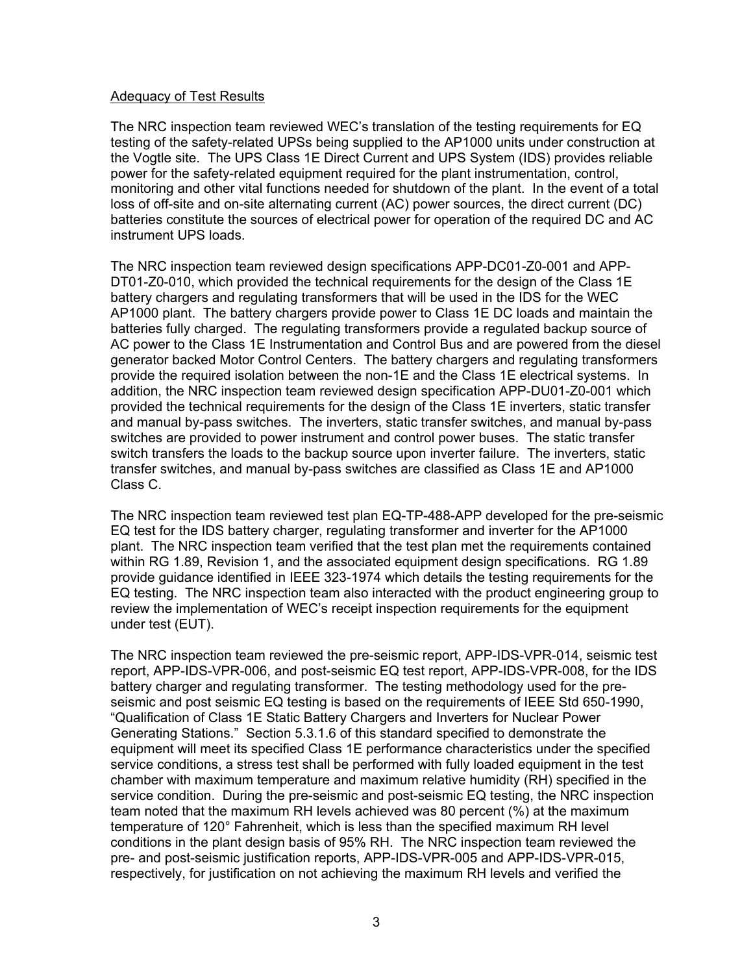## Adequacy of Test Results

The NRC inspection team reviewed WEC's translation of the testing requirements for EQ testing of the safety-related UPSs being supplied to the AP1000 units under construction at the Vogtle site. The UPS Class 1E Direct Current and UPS System (IDS) provides reliable power for the safety-related equipment required for the plant instrumentation, control, monitoring and other vital functions needed for shutdown of the plant. In the event of a total loss of off-site and on-site alternating current (AC) power sources, the direct current (DC) batteries constitute the sources of electrical power for operation of the required DC and AC instrument UPS loads.

The NRC inspection team reviewed design specifications APP-DC01-Z0-001 and APP-DT01-Z0-010, which provided the technical requirements for the design of the Class 1E battery chargers and regulating transformers that will be used in the IDS for the WEC AP1000 plant. The battery chargers provide power to Class 1E DC loads and maintain the batteries fully charged. The regulating transformers provide a regulated backup source of AC power to the Class 1E Instrumentation and Control Bus and are powered from the diesel generator backed Motor Control Centers. The battery chargers and regulating transformers provide the required isolation between the non-1E and the Class 1E electrical systems. In addition, the NRC inspection team reviewed design specification APP-DU01-Z0-001 which provided the technical requirements for the design of the Class 1E inverters, static transfer and manual by-pass switches. The inverters, static transfer switches, and manual by-pass switches are provided to power instrument and control power buses. The static transfer switch transfers the loads to the backup source upon inverter failure. The inverters, static transfer switches, and manual by-pass switches are classified as Class 1E and AP1000 Class C.

The NRC inspection team reviewed test plan EQ-TP-488-APP developed for the pre-seismic EQ test for the IDS battery charger, regulating transformer and inverter for the AP1000 plant. The NRC inspection team verified that the test plan met the requirements contained within RG 1.89, Revision 1, and the associated equipment design specifications. RG 1.89 provide guidance identified in IEEE 323-1974 which details the testing requirements for the EQ testing. The NRC inspection team also interacted with the product engineering group to review the implementation of WEC's receipt inspection requirements for the equipment under test (EUT).

The NRC inspection team reviewed the pre-seismic report, APP-IDS-VPR-014, seismic test report, APP-IDS-VPR-006, and post-seismic EQ test report, APP-IDS-VPR-008, for the IDS battery charger and regulating transformer. The testing methodology used for the preseismic and post seismic EQ testing is based on the requirements of IEEE Std 650-1990, "Qualification of Class 1E Static Battery Chargers and Inverters for Nuclear Power Generating Stations." Section 5.3.1.6 of this standard specified to demonstrate the equipment will meet its specified Class 1E performance characteristics under the specified service conditions, a stress test shall be performed with fully loaded equipment in the test chamber with maximum temperature and maximum relative humidity (RH) specified in the service condition. During the pre-seismic and post-seismic EQ testing, the NRC inspection team noted that the maximum RH levels achieved was 80 percent (%) at the maximum temperature of 120° Fahrenheit, which is less than the specified maximum RH level conditions in the plant design basis of 95% RH. The NRC inspection team reviewed the pre- and post-seismic justification reports, APP-IDS-VPR-005 and APP-IDS-VPR-015, respectively, for justification on not achieving the maximum RH levels and verified the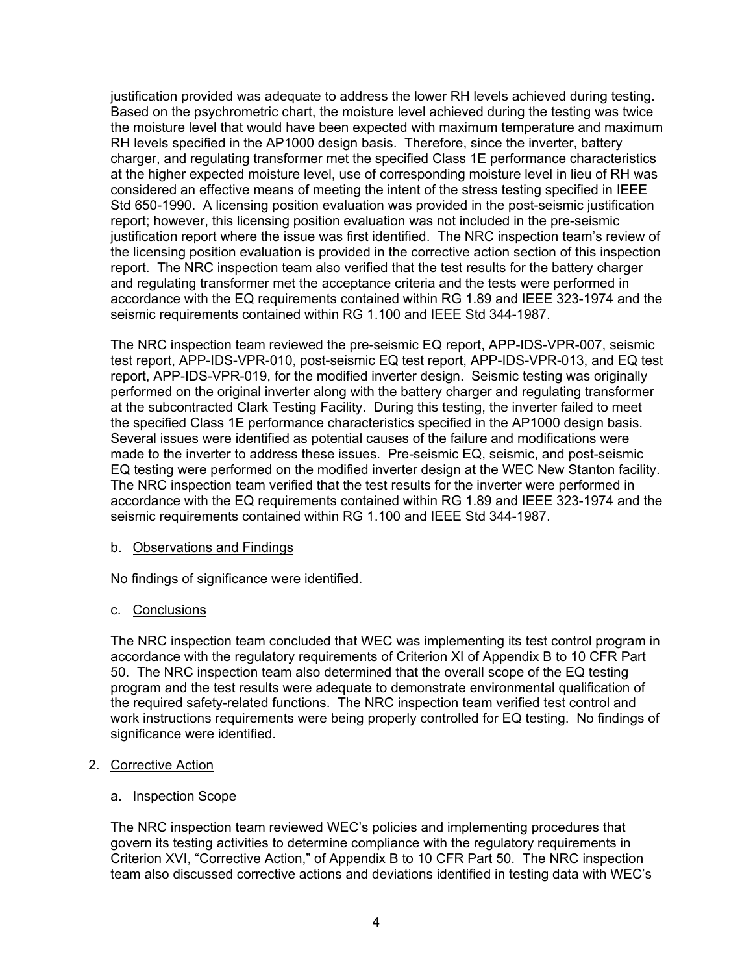justification provided was adequate to address the lower RH levels achieved during testing. Based on the psychrometric chart, the moisture level achieved during the testing was twice the moisture level that would have been expected with maximum temperature and maximum RH levels specified in the AP1000 design basis. Therefore, since the inverter, battery charger, and regulating transformer met the specified Class 1E performance characteristics at the higher expected moisture level, use of corresponding moisture level in lieu of RH was considered an effective means of meeting the intent of the stress testing specified in IEEE Std 650-1990. A licensing position evaluation was provided in the post-seismic justification report; however, this licensing position evaluation was not included in the pre-seismic justification report where the issue was first identified. The NRC inspection team's review of the licensing position evaluation is provided in the corrective action section of this inspection report. The NRC inspection team also verified that the test results for the battery charger and regulating transformer met the acceptance criteria and the tests were performed in accordance with the EQ requirements contained within RG 1.89 and IEEE 323-1974 and the seismic requirements contained within RG 1.100 and IEEE Std 344-1987.

The NRC inspection team reviewed the pre-seismic EQ report, APP-IDS-VPR-007, seismic test report, APP-IDS-VPR-010, post-seismic EQ test report, APP-IDS-VPR-013, and EQ test report, APP-IDS-VPR-019, for the modified inverter design. Seismic testing was originally performed on the original inverter along with the battery charger and regulating transformer at the subcontracted Clark Testing Facility. During this testing, the inverter failed to meet the specified Class 1E performance characteristics specified in the AP1000 design basis. Several issues were identified as potential causes of the failure and modifications were made to the inverter to address these issues. Pre-seismic EQ, seismic, and post-seismic EQ testing were performed on the modified inverter design at the WEC New Stanton facility. The NRC inspection team verified that the test results for the inverter were performed in accordance with the EQ requirements contained within RG 1.89 and IEEE 323-1974 and the seismic requirements contained within RG 1.100 and IEEE Std 344-1987.

## b. Observations and Findings

No findings of significance were identified.

## c. Conclusions

The NRC inspection team concluded that WEC was implementing its test control program in accordance with the regulatory requirements of Criterion XI of Appendix B to 10 CFR Part 50. The NRC inspection team also determined that the overall scope of the EQ testing program and the test results were adequate to demonstrate environmental qualification of the required safety-related functions. The NRC inspection team verified test control and work instructions requirements were being properly controlled for EQ testing. No findings of significance were identified.

## 2. Corrective Action

## a. Inspection Scope

The NRC inspection team reviewed WEC's policies and implementing procedures that govern its testing activities to determine compliance with the regulatory requirements in Criterion XVI, "Corrective Action," of Appendix B to 10 CFR Part 50. The NRC inspection team also discussed corrective actions and deviations identified in testing data with WEC's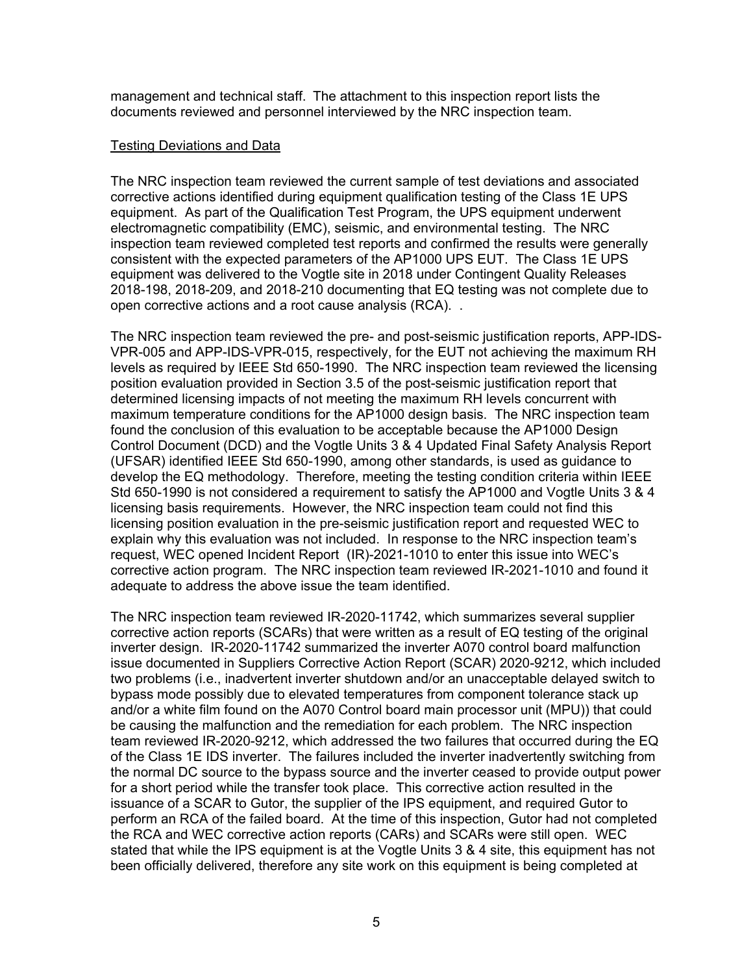management and technical staff. The attachment to this inspection report lists the documents reviewed and personnel interviewed by the NRC inspection team.

#### Testing Deviations and Data

The NRC inspection team reviewed the current sample of test deviations and associated corrective actions identified during equipment qualification testing of the Class 1E UPS equipment. As part of the Qualification Test Program, the UPS equipment underwent electromagnetic compatibility (EMC), seismic, and environmental testing. The NRC inspection team reviewed completed test reports and confirmed the results were generally consistent with the expected parameters of the AP1000 UPS EUT. The Class 1E UPS equipment was delivered to the Vogtle site in 2018 under Contingent Quality Releases 2018-198, 2018-209, and 2018-210 documenting that EQ testing was not complete due to open corrective actions and a root cause analysis (RCA). .

The NRC inspection team reviewed the pre- and post-seismic justification reports, APP-IDS-VPR-005 and APP-IDS-VPR-015, respectively, for the EUT not achieving the maximum RH levels as required by IEEE Std 650-1990. The NRC inspection team reviewed the licensing position evaluation provided in Section 3.5 of the post-seismic justification report that determined licensing impacts of not meeting the maximum RH levels concurrent with maximum temperature conditions for the AP1000 design basis. The NRC inspection team found the conclusion of this evaluation to be acceptable because the AP1000 Design Control Document (DCD) and the Vogtle Units 3 & 4 Updated Final Safety Analysis Report (UFSAR) identified IEEE Std 650-1990, among other standards, is used as guidance to develop the EQ methodology. Therefore, meeting the testing condition criteria within IEEE Std 650-1990 is not considered a requirement to satisfy the AP1000 and Vogtle Units 3 & 4 licensing basis requirements. However, the NRC inspection team could not find this licensing position evaluation in the pre-seismic justification report and requested WEC to explain why this evaluation was not included. In response to the NRC inspection team's request, WEC opened Incident Report (IR)-2021-1010 to enter this issue into WEC's corrective action program. The NRC inspection team reviewed IR-2021-1010 and found it adequate to address the above issue the team identified.

The NRC inspection team reviewed IR-2020-11742, which summarizes several supplier corrective action reports (SCARs) that were written as a result of EQ testing of the original inverter design. IR-2020-11742 summarized the inverter A070 control board malfunction issue documented in Suppliers Corrective Action Report (SCAR) 2020-9212, which included two problems (i.e., inadvertent inverter shutdown and/or an unacceptable delayed switch to bypass mode possibly due to elevated temperatures from component tolerance stack up and/or a white film found on the A070 Control board main processor unit (MPU)) that could be causing the malfunction and the remediation for each problem. The NRC inspection team reviewed IR-2020-9212, which addressed the two failures that occurred during the EQ of the Class 1E IDS inverter. The failures included the inverter inadvertently switching from the normal DC source to the bypass source and the inverter ceased to provide output power for a short period while the transfer took place. This corrective action resulted in the issuance of a SCAR to Gutor, the supplier of the IPS equipment, and required Gutor to perform an RCA of the failed board. At the time of this inspection, Gutor had not completed the RCA and WEC corrective action reports (CARs) and SCARs were still open. WEC stated that while the IPS equipment is at the Vogtle Units 3 & 4 site, this equipment has not been officially delivered, therefore any site work on this equipment is being completed at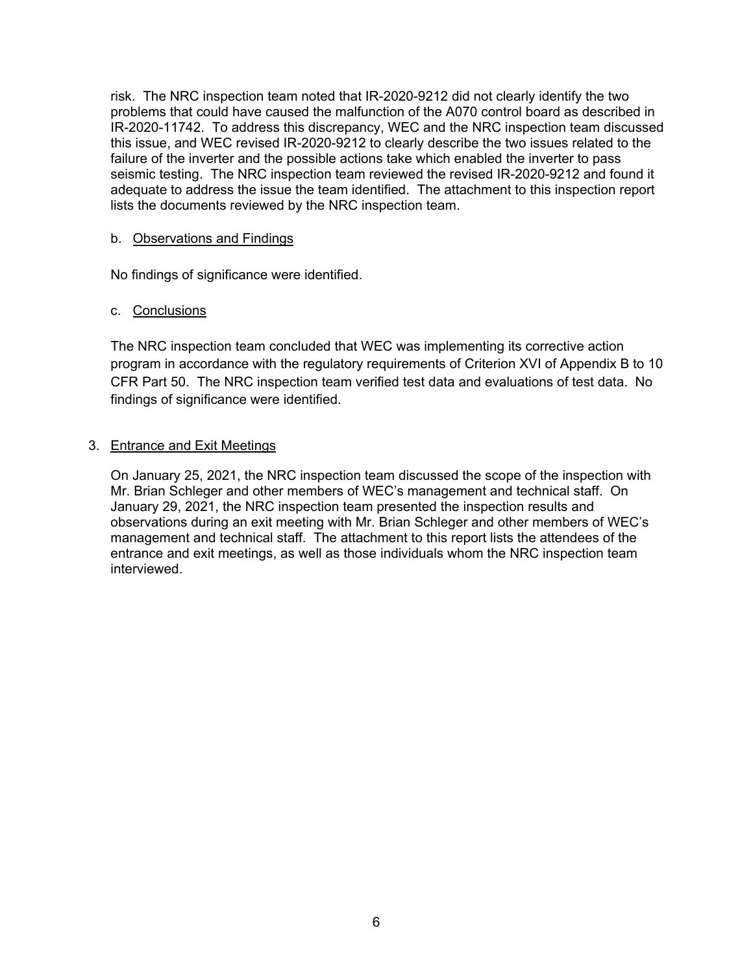risk. The NRC inspection team noted that IR-2020-9212 did not clearly identify the two problems that could have caused the malfunction of the A070 control board as described in IR-2020-11742. To address this discrepancy, WEC and the NRC inspection team discussed this issue, and WEC revised IR-2020-9212 to clearly describe the two issues related to the failure of the inverter and the possible actions take which enabled the inverter to pass seismic testing. The NRC inspection team reviewed the revised IR-2020-9212 and found it adequate to address the issue the team identified. The attachment to this inspection report lists the documents reviewed by the NRC inspection team.

#### b. Observations and Findings

No findings of significance were identified.

#### c. Conclusions

The NRC inspection team concluded that WEC was implementing its corrective action program in accordance with the regulatory requirements of Criterion XVI of Appendix B to 10 CFR Part 50. The NRC inspection team verified test data and evaluations of test data. No findings of significance were identified.

## 3. Entrance and Exit Meetings

On January 25, 2021, the NRC inspection team discussed the scope of the inspection with Mr. Brian Schleger and other members of WEC's management and technical staff. On January 29, 2021, the NRC inspection team presented the inspection results and observations during an exit meeting with Mr. Brian Schleger and other members of WEC's management and technical staff. The attachment to this report lists the attendees of the entrance and exit meetings, as well as those individuals whom the NRC inspection team interviewed.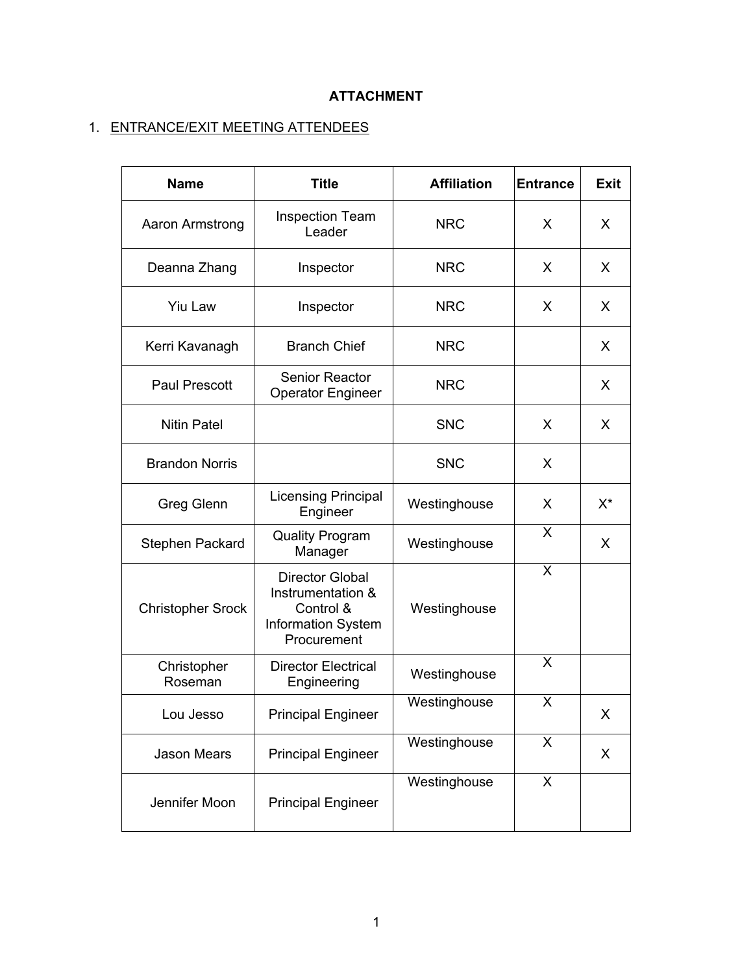## **ATTACHMENT**

# 1. ENTRANCE/EXIT MEETING ATTENDEES

| <b>Name</b>              | <b>Title</b>                                                                                         | <b>Affiliation</b> | <b>Entrance</b> | <b>Exit</b> |
|--------------------------|------------------------------------------------------------------------------------------------------|--------------------|-----------------|-------------|
| Aaron Armstrong          | <b>Inspection Team</b><br>Leader                                                                     | <b>NRC</b>         | X               | X           |
| Deanna Zhang             | Inspector                                                                                            | <b>NRC</b>         | X               | X           |
| <b>Yiu Law</b>           | Inspector                                                                                            | <b>NRC</b>         | X.              | X           |
| Kerri Kavanagh           | <b>Branch Chief</b>                                                                                  | <b>NRC</b>         |                 | X           |
| Paul Prescott            | <b>Senior Reactor</b><br><b>Operator Engineer</b>                                                    | <b>NRC</b>         |                 | X           |
| <b>Nitin Patel</b>       |                                                                                                      | <b>SNC</b>         | X.              | X           |
| <b>Brandon Norris</b>    |                                                                                                      | <b>SNC</b>         | X               |             |
| <b>Greg Glenn</b>        | <b>Licensing Principal</b><br>Engineer                                                               | Westinghouse       | X               | $X^*$       |
| Stephen Packard          | <b>Quality Program</b><br>Manager                                                                    | Westinghouse       | X               | X           |
| <b>Christopher Srock</b> | <b>Director Global</b><br>Instrumentation &<br>Control &<br><b>Information System</b><br>Procurement | Westinghouse       | X               |             |
| Christopher<br>Roseman   | <b>Director Electrical</b><br>Engineering                                                            | Westinghouse       | X               |             |
| Lou Jesso                | <b>Principal Engineer</b>                                                                            | Westinghouse       | X               | X           |
| <b>Jason Mears</b>       | <b>Principal Engineer</b>                                                                            | Westinghouse       | X               | X           |
| Jennifer Moon            | <b>Principal Engineer</b>                                                                            | Westinghouse       | $\mathsf{X}$    |             |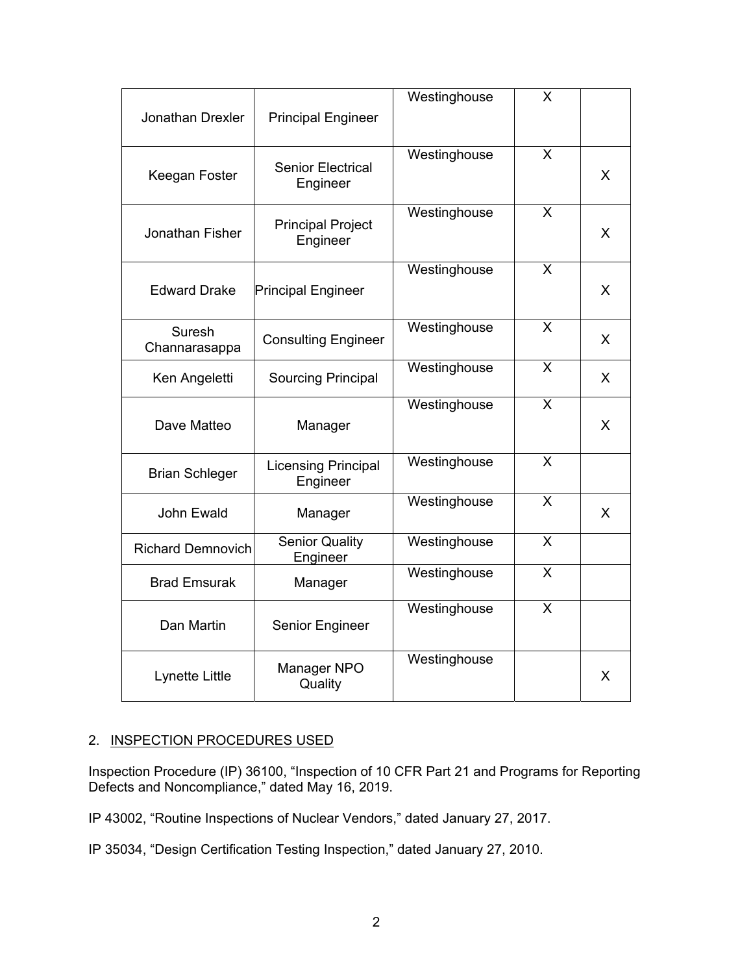| Jonathan Drexler         | <b>Principal Engineer</b>              | Westinghouse | X                       |              |
|--------------------------|----------------------------------------|--------------|-------------------------|--------------|
| Keegan Foster            | <b>Senior Electrical</b><br>Engineer   | Westinghouse | X                       | X            |
| Jonathan Fisher          | <b>Principal Project</b><br>Engineer   | Westinghouse | X                       | X            |
| <b>Edward Drake</b>      | <b>Principal Engineer</b>              | Westinghouse | X                       | X            |
| Suresh<br>Channarasappa  | <b>Consulting Engineer</b>             | Westinghouse | X                       | X            |
| Ken Angeletti            | <b>Sourcing Principal</b>              | Westinghouse | X                       | X            |
| Dave Matteo              | Manager                                | Westinghouse | X                       | X            |
| <b>Brian Schleger</b>    | <b>Licensing Principal</b><br>Engineer | Westinghouse | $\overline{\mathsf{X}}$ |              |
| John Ewald               | Manager                                | Westinghouse | X                       | $\mathsf{X}$ |
| <b>Richard Demnovich</b> | <b>Senior Quality</b><br>Engineer      | Westinghouse | X                       |              |
| <b>Brad Emsurak</b>      | Manager                                | Westinghouse | X                       |              |
| Dan Martin               | Senior Engineer                        | Westinghouse | $\overline{\mathsf{X}}$ |              |
| Lynette Little           | Manager NPO<br>Quality                 | Westinghouse |                         | X            |

# 2. INSPECTION PROCEDURES USED

Inspection Procedure (IP) 36100, "Inspection of 10 CFR Part 21 and Programs for Reporting Defects and Noncompliance," dated May 16, 2019.

IP 43002, "Routine Inspections of Nuclear Vendors," dated January 27, 2017.

IP 35034, "Design Certification Testing Inspection," dated January 27, 2010.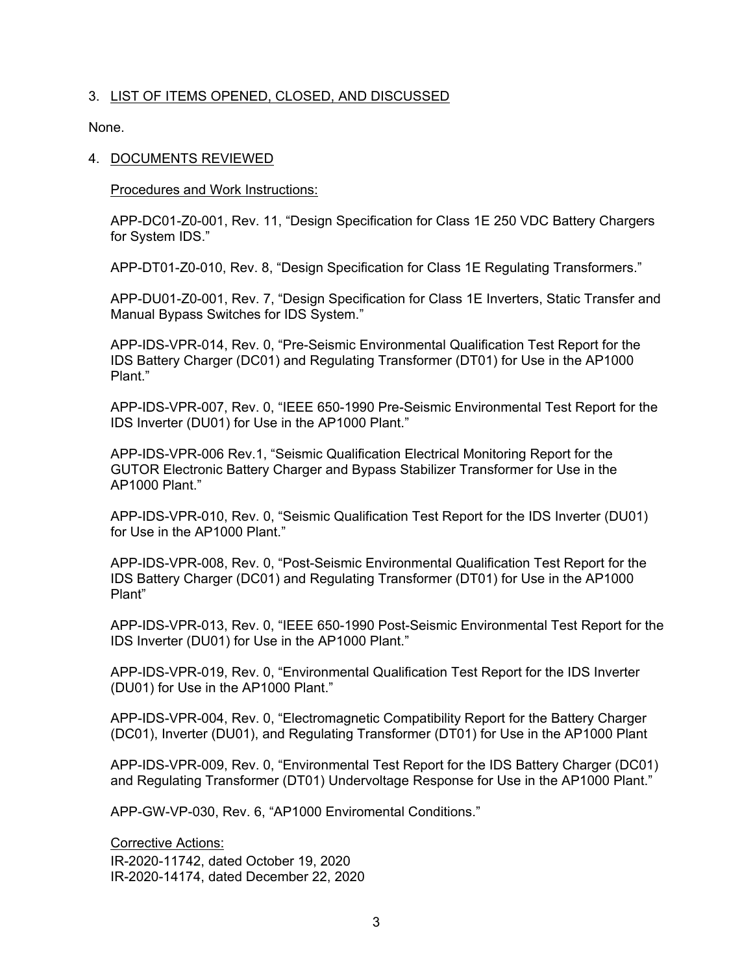#### 3. LIST OF ITEMS OPENED, CLOSED, AND DISCUSSED

None.

#### 4. DOCUMENTS REVIEWED

Procedures and Work Instructions:

APP-DC01-Z0-001, Rev. 11, "Design Specification for Class 1E 250 VDC Battery Chargers for System IDS."

APP-DT01-Z0-010, Rev. 8, "Design Specification for Class 1E Regulating Transformers."

APP-DU01-Z0-001, Rev. 7, "Design Specification for Class 1E Inverters, Static Transfer and Manual Bypass Switches for IDS System."

APP-IDS-VPR-014, Rev. 0, "Pre-Seismic Environmental Qualification Test Report for the IDS Battery Charger (DC01) and Regulating Transformer (DT01) for Use in the AP1000 Plant."

APP-IDS-VPR-007, Rev. 0, "IEEE 650-1990 Pre-Seismic Environmental Test Report for the IDS Inverter (DU01) for Use in the AP1000 Plant."

APP-IDS-VPR-006 Rev.1, "Seismic Qualification Electrical Monitoring Report for the GUTOR Electronic Battery Charger and Bypass Stabilizer Transformer for Use in the AP1000 Plant."

APP-IDS-VPR-010, Rev. 0, "Seismic Qualification Test Report for the IDS Inverter (DU01) for Use in the AP1000 Plant."

APP-IDS-VPR-008, Rev. 0, "Post-Seismic Environmental Qualification Test Report for the IDS Battery Charger (DC01) and Regulating Transformer (DT01) for Use in the AP1000 Plant"

APP-IDS-VPR-013, Rev. 0, "IEEE 650-1990 Post-Seismic Environmental Test Report for the IDS Inverter (DU01) for Use in the AP1000 Plant."

APP-IDS-VPR-019, Rev. 0, "Environmental Qualification Test Report for the IDS Inverter (DU01) for Use in the AP1000 Plant."

APP-IDS-VPR-004, Rev. 0, "Electromagnetic Compatibility Report for the Battery Charger (DC01), Inverter (DU01), and Regulating Transformer (DT01) for Use in the AP1000 Plant

APP-IDS-VPR-009, Rev. 0, "Environmental Test Report for the IDS Battery Charger (DC01) and Regulating Transformer (DT01) Undervoltage Response for Use in the AP1000 Plant."

APP-GW-VP-030, Rev. 6, "AP1000 Enviromental Conditions."

Corrective Actions:

IR-2020-11742, dated October 19, 2020 IR-2020-14174, dated December 22, 2020